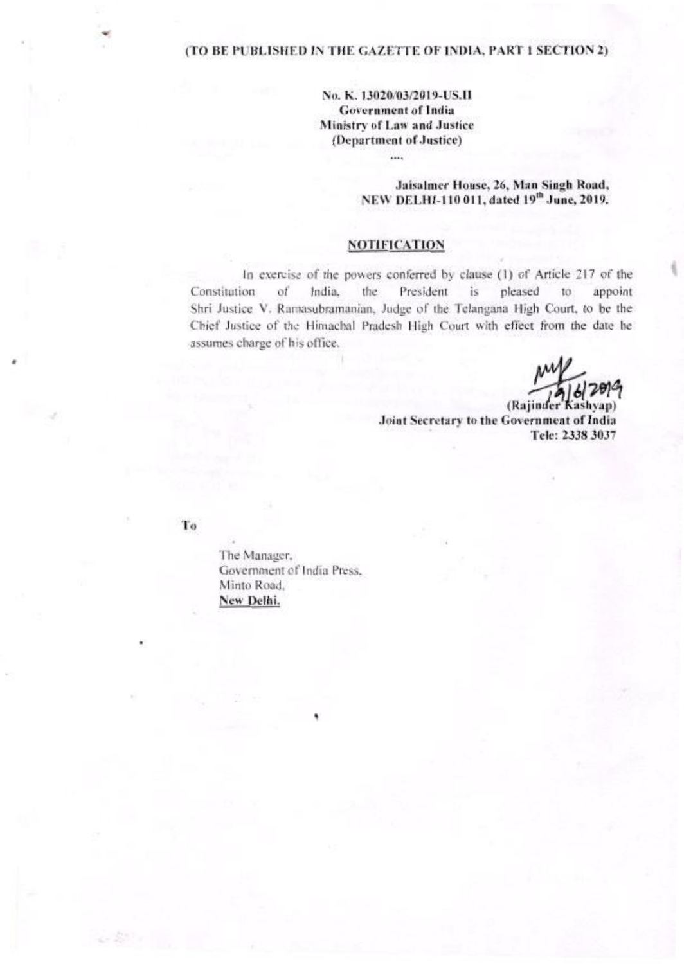### (TO BE PUBLISHED IN THE GAZETTE OF INDIA, PART 1 SECTION 2)

# No. K. 13020/03/2019-US.II **Government of India** Ministry of Law and Justice (Department of Justice)

 $\cdots$ 

### Jaisalmer House, 26, Man Singh Road, NEW DELHI-110 011, dated 19th June, 2019.

# **NOTIFICATION**

In exercise of the powers conferred by clause (1) of Article 217 of the Constitution of India. the. President  $is$ pleased  $to$ appoint Shri Justice V. Ramasubramanian, Judge of the Telangana High Court, to be the Chief Justice of the Himachal Pradesh High Court with effect from the date he assumes charge of his office.

(Rajinder Kashvap) Joint Secretary to the Government of India Tele: 2338 3037

To

The Manager, Government of India Press. Minto Road. New Delhi.